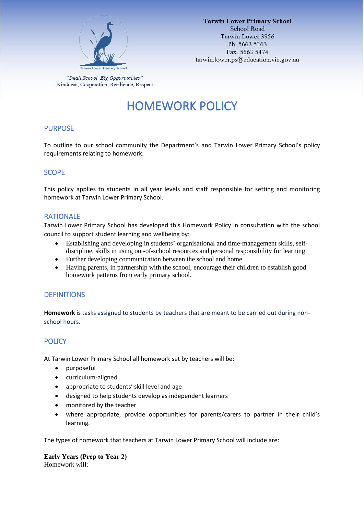

"Small School, Big Opportunities" Kindness, Cooperation, Resilience, Respect

# HOMEWORK POLICY

# PURPOSE

To outline to our school community the Department's and Tarwin Lower Primary School's policy requirements relating to homework.

## **SCOPE**

This policy applies to students in all year levels and staff responsible for setting and monitoring homework at Tarwin Lower Primary School.

## RATIONALE

Tarwin Lower Primary School has developed this Homework Policy in consultation with the school council to support student learning and wellbeing by:

- Establishing and developing in students' organisational and time-management skills, selfdiscipline, skills in using out-of-school resources and personal responsibility for learning.
- Further developing communication between the school and home.
- Having parents, in partnership with the school, encourage their children to establish good homework patterns from early primary school.

# **DEFINITIONS**

**Homework** is tasks assigned to students by teachers that are meant to be carried out during nonschool hours.

# POLICY

At Tarwin Lower Primary School all homework set by teachers will be:

- purposeful
- curriculum-aligned
- appropriate to students' skill level and age
- designed to help students develop as independent learners
- monitored by the teacher
- where appropriate, provide opportunities for parents/carers to partner in their child's learning.

The types of homework that teachers at Tarwin Lower Primary School will include are:

**Early Years (Prep to Year 2)** Homework will: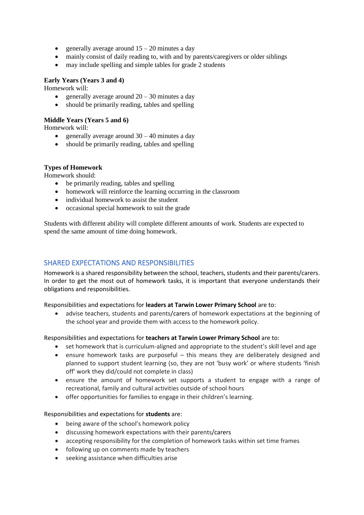- generally average around  $15 20$  minutes a day
- mainly consist of daily reading to, with and by parents/caregivers or older siblings
- may include spelling and simple tables for grade 2 students

#### **Early Years (Years 3 and 4)**

Homework will:

- generally average around  $20 30$  minutes a day
- should be primarily reading, tables and spelling

#### **Middle Years (Years 5 and 6)**

Homework will:

- generally average around  $30 40$  minutes a day
- should be primarily reading, tables and spelling

#### **Types of Homework**

Homework should:

- be primarily reading, tables and spelling
- homework will reinforce the learning occurring in the classroom
- individual homework to assist the student
- occasional special homework to suit the grade

Students with different ability will complete different amounts of work. Students are expected to spend the same amount of time doing homework.

# SHARED EXPECTATIONS AND RESPONSIBILITIES

Homework is a shared responsibility between the school, teachers, students and their parents/carers. In order to get the most out of homework tasks, it is important that everyone understands their obligations and responsibilities.

Responsibilities and expectations for **leaders at Tarwin Lower Primary School** are to:

• advise teachers, students and parents/carers of homework expectations at the beginning of the school year and provide them with access to the homework policy.

Responsibilities and expectations for **teachers at Tarwin Lower Primary School** are to:

- set homework that is curriculum-aligned and appropriate to the student's skill level and age
- ensure homework tasks are purposeful this means they are deliberately designed and planned to support student learning (so, they are not 'busy work' or where students 'finish off' work they did/could not complete in class)
- ensure the amount of homework set supports a student to engage with a range of recreational, family and cultural activities outside of school hours
- offer opportunities for families to engage in their children's learning.

#### Responsibilities and expectations for **students** are:

- being aware of the school's homework policy
- discussing homework expectations with their parents/carers
- accepting responsibility for the completion of homework tasks within set time frames
- following up on comments made by teachers
- seeking assistance when difficulties arise